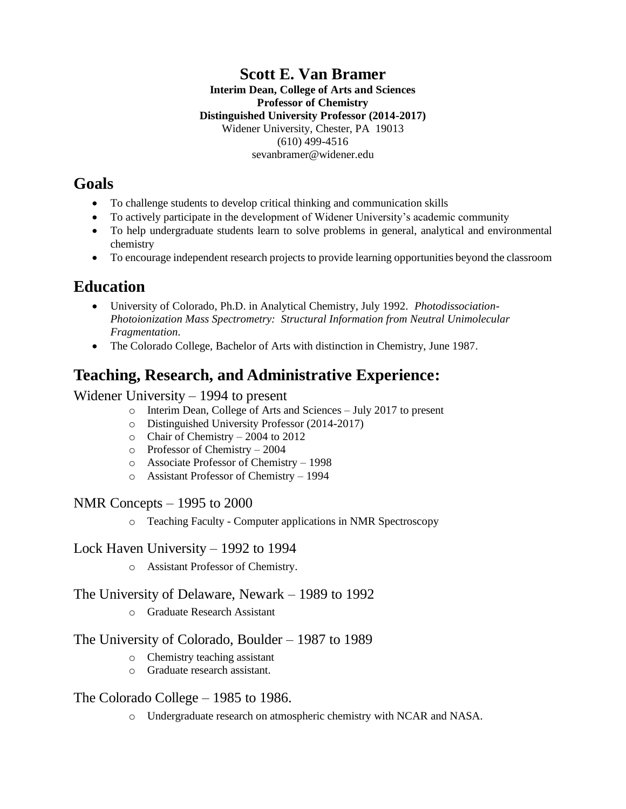## **Scott E. Van Bramer**

**Interim Dean, College of Arts and Sciences Professor of Chemistry Distinguished University Professor (2014-2017)** Widener University, Chester, PA 19013 (610) 499-4516 sevanbramer@widener.edu

## **Goals**

- To challenge students to develop critical thinking and communication skills
- To actively participate in the development of Widener University's academic community
- To help undergraduate students learn to solve problems in general, analytical and environmental chemistry
- To encourage independent research projects to provide learning opportunities beyond the classroom

## **Education**

- University of Colorado, Ph.D. in Analytical Chemistry, July 1992. *Photodissociation-Photoionization Mass Spectrometry: Structural Information from Neutral Unimolecular Fragmentation.*
- The Colorado College, Bachelor of Arts with distinction in Chemistry, June 1987.

# **Teaching, Research, and Administrative Experience:**

### Widener University – 1994 to present

- o Interim Dean, College of Arts and Sciences July 2017 to present
- o Distinguished University Professor (2014-2017)
- o Chair of Chemistry 2004 to 2012
- o Professor of Chemistry 2004
- o Associate Professor of Chemistry 1998
- o Assistant Professor of Chemistry 1994

#### NMR Concepts – 1995 to 2000

o Teaching Faculty - Computer applications in NMR Spectroscopy

#### Lock Haven University – 1992 to 1994

o Assistant Professor of Chemistry.

### The University of Delaware, Newark – 1989 to 1992

o Graduate Research Assistant

#### The University of Colorado, Boulder – 1987 to 1989

- o Chemistry teaching assistant
- o Graduate research assistant.

### The Colorado College – 1985 to 1986.

o Undergraduate research on atmospheric chemistry with NCAR and NASA.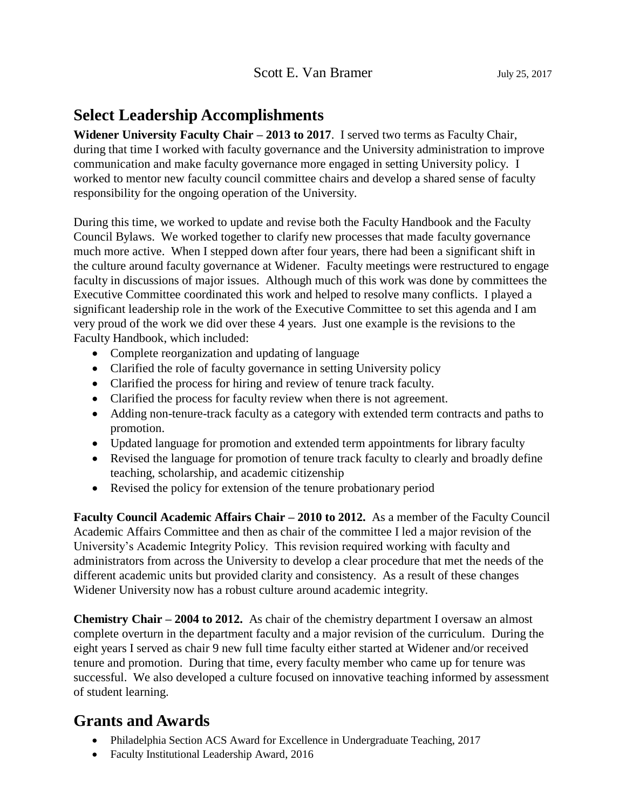# **Select Leadership Accomplishments**

**Widener University Faculty Chair – 2013 to 2017**. I served two terms as Faculty Chair, during that time I worked with faculty governance and the University administration to improve communication and make faculty governance more engaged in setting University policy. I worked to mentor new faculty council committee chairs and develop a shared sense of faculty responsibility for the ongoing operation of the University.

During this time, we worked to update and revise both the Faculty Handbook and the Faculty Council Bylaws. We worked together to clarify new processes that made faculty governance much more active. When I stepped down after four years, there had been a significant shift in the culture around faculty governance at Widener. Faculty meetings were restructured to engage faculty in discussions of major issues. Although much of this work was done by committees the Executive Committee coordinated this work and helped to resolve many conflicts. I played a significant leadership role in the work of the Executive Committee to set this agenda and I am very proud of the work we did over these 4 years. Just one example is the revisions to the Faculty Handbook, which included:

- Complete reorganization and updating of language
- Clarified the role of faculty governance in setting University policy
- Clarified the process for hiring and review of tenure track faculty.
- Clarified the process for faculty review when there is not agreement.
- Adding non-tenure-track faculty as a category with extended term contracts and paths to promotion.
- Updated language for promotion and extended term appointments for library faculty
- Revised the language for promotion of tenure track faculty to clearly and broadly define teaching, scholarship, and academic citizenship
- Revised the policy for extension of the tenure probationary period

**Faculty Council Academic Affairs Chair – 2010 to 2012.** As a member of the Faculty Council Academic Affairs Committee and then as chair of the committee I led a major revision of the University's Academic Integrity Policy. This revision required working with faculty and administrators from across the University to develop a clear procedure that met the needs of the different academic units but provided clarity and consistency. As a result of these changes Widener University now has a robust culture around academic integrity.

**Chemistry Chair – 2004 to 2012.** As chair of the chemistry department I oversaw an almost complete overturn in the department faculty and a major revision of the curriculum. During the eight years I served as chair 9 new full time faculty either started at Widener and/or received tenure and promotion. During that time, every faculty member who came up for tenure was successful. We also developed a culture focused on innovative teaching informed by assessment of student learning.

# **Grants and Awards**

- Philadelphia Section ACS Award for Excellence in Undergraduate Teaching, 2017
- Faculty Institutional Leadership Award, 2016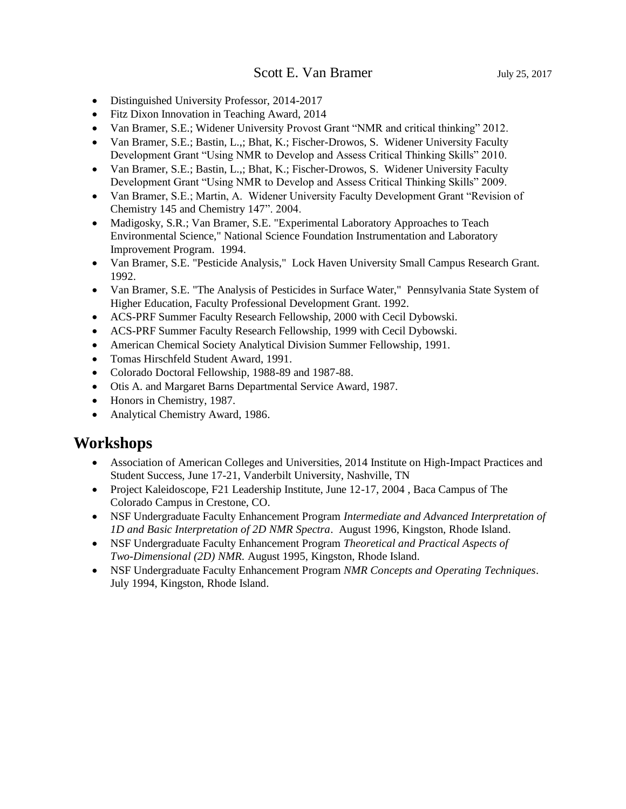- Distinguished University Professor, 2014-2017
- Fitz Dixon Innovation in Teaching Award, 2014
- Van Bramer, S.E.; Widener University Provost Grant "NMR and critical thinking" 2012.
- Van Bramer, S.E.; Bastin, L.,; Bhat, K.; Fischer-Drowos, S. Widener University Faculty Development Grant "Using NMR to Develop and Assess Critical Thinking Skills" 2010.
- Van Bramer, S.E.; Bastin, L.,; Bhat, K.; Fischer-Drowos, S. Widener University Faculty Development Grant "Using NMR to Develop and Assess Critical Thinking Skills" 2009.
- Van Bramer, S.E.; Martin, A. Widener University Faculty Development Grant "Revision of Chemistry 145 and Chemistry 147". 2004.
- Madigosky, S.R.; Van Bramer, S.E. "Experimental Laboratory Approaches to Teach Environmental Science," National Science Foundation Instrumentation and Laboratory Improvement Program. 1994.
- Van Bramer, S.E. "Pesticide Analysis," Lock Haven University Small Campus Research Grant. 1992.
- Van Bramer, S.E. "The Analysis of Pesticides in Surface Water," Pennsylvania State System of Higher Education, Faculty Professional Development Grant. 1992.
- ACS-PRF Summer Faculty Research Fellowship, 2000 with Cecil Dybowski.
- ACS-PRF Summer Faculty Research Fellowship, 1999 with Cecil Dybowski.
- American Chemical Society Analytical Division Summer Fellowship, 1991.
- Tomas Hirschfeld Student Award, 1991.
- Colorado Doctoral Fellowship, 1988-89 and 1987-88.
- Otis A. and Margaret Barns Departmental Service Award, 1987.
- Honors in Chemistry, 1987.
- Analytical Chemistry Award, 1986.

## **Workshops**

- Association of American Colleges and Universities, 2014 Institute on High-Impact Practices and Student Success, June 17-21, Vanderbilt University, Nashville, TN
- Project Kaleidoscope, F21 Leadership Institute, June 12-17, 2004, Baca Campus of The Colorado Campus in Crestone, CO.
- NSF Undergraduate Faculty Enhancement Program *Intermediate and Advanced Interpretation of 1D and Basic Interpretation of 2D NMR Spectra*. August 1996, Kingston, Rhode Island.
- NSF Undergraduate Faculty Enhancement Program *Theoretical and Practical Aspects of Two-Dimensional (2D) NMR.* August 1995, Kingston, Rhode Island.
- NSF Undergraduate Faculty Enhancement Program *NMR Concepts and Operating Techniques*. July 1994, Kingston, Rhode Island.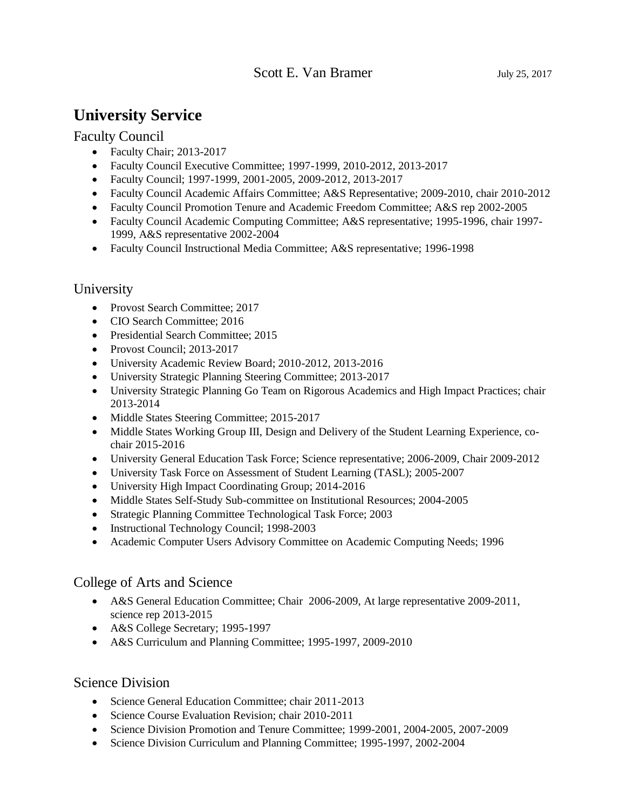# **University Service**

#### Faculty Council

- Faculty Chair; 2013-2017
- Faculty Council Executive Committee; 1997-1999, 2010-2012, 2013-2017
- Faculty Council; 1997-1999, 2001-2005, 2009-2012, 2013-2017
- Faculty Council Academic Affairs Committee; A&S Representative; 2009-2010, chair 2010-2012
- Faculty Council Promotion Tenure and Academic Freedom Committee; A&S rep 2002-2005
- Faculty Council Academic Computing Committee; A&S representative; 1995-1996, chair 1997-1999, A&S representative 2002-2004
- Faculty Council Instructional Media Committee; A&S representative; 1996-1998

## University

- Provost Search Committee: 2017
- CIO Search Committee: 2016
- Presidential Search Committee: 2015
- Provost Council; 2013-2017
- University Academic Review Board; 2010-2012, 2013-2016
- University Strategic Planning Steering Committee; 2013-2017
- University Strategic Planning Go Team on Rigorous Academics and High Impact Practices; chair 2013-2014
- Middle States Steering Committee; 2015-2017
- Middle States Working Group III, Design and Delivery of the Student Learning Experience, cochair 2015-2016
- University General Education Task Force; Science representative; 2006-2009, Chair 2009-2012
- University Task Force on Assessment of Student Learning (TASL); 2005-2007
- University High Impact Coordinating Group; 2014-2016
- Middle States Self-Study Sub-committee on Institutional Resources; 2004-2005
- Strategic Planning Committee Technological Task Force; 2003
- Instructional Technology Council; 1998-2003
- Academic Computer Users Advisory Committee on Academic Computing Needs; 1996

## College of Arts and Science

- A&S General Education Committee; Chair 2006-2009, At large representative 2009-2011, science rep 2013-2015
- A&S College Secretary; 1995-1997
- A&S Curriculum and Planning Committee; 1995-1997, 2009-2010

## Science Division

- Science General Education Committee; chair 2011-2013
- Science Course Evaluation Revision; chair 2010-2011
- Science Division Promotion and Tenure Committee; 1999-2001, 2004-2005, 2007-2009
- Science Division Curriculum and Planning Committee; 1995-1997, 2002-2004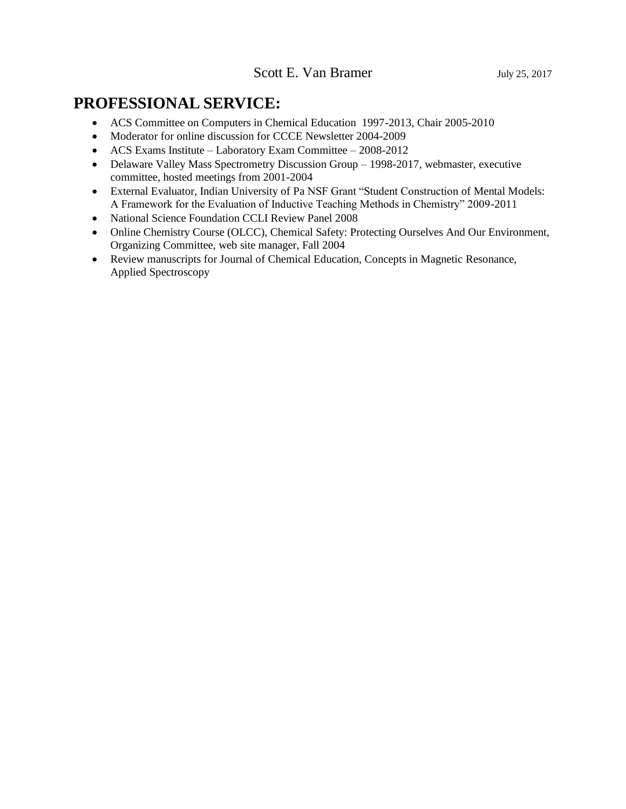## **PROFESSIONAL SERVICE:**

- ACS Committee on Computers in Chemical Education 1997-2013, Chair 2005-2010
- Moderator for online discussion for CCCE Newsletter 2004-2009
- ACS Exams Institute Laboratory Exam Committee 2008-2012
- Delaware Valley Mass Spectrometry Discussion Group 1998-2017, webmaster, executive committee, hosted meetings from 2001-2004
- External Evaluator, Indian University of Pa NSF Grant "Student Construction of Mental Models: A Framework for the Evaluation of Inductive Teaching Methods in Chemistry" 2009-2011
- National Science Foundation CCLI Review Panel 2008
- Online Chemistry Course (OLCC), Chemical Safety: Protecting Ourselves And Our Environment, Organizing Committee, web site manager, Fall 2004
- Review manuscripts for Journal of Chemical Education, Concepts in Magnetic Resonance, Applied Spectroscopy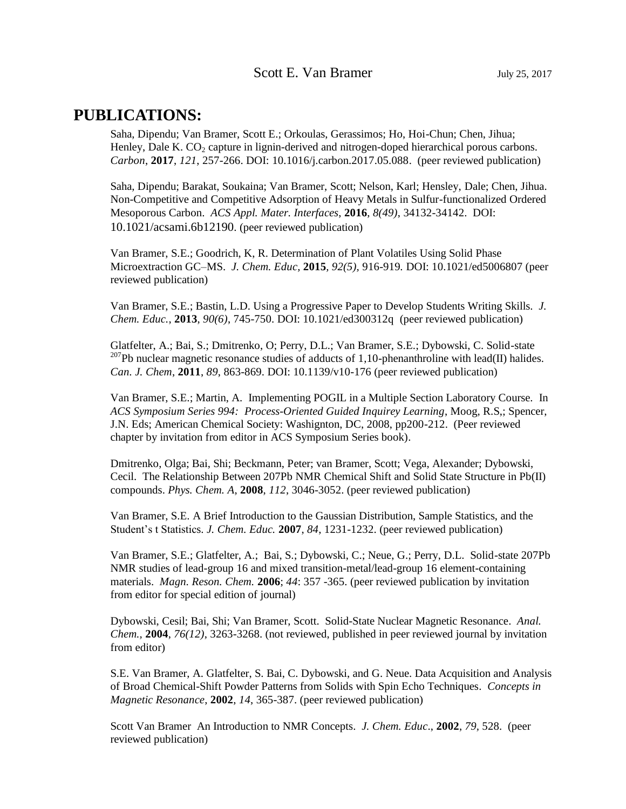## **PUBLICATIONS:**

Saha, Dipendu; Van Bramer, Scott E.; Orkoulas, Gerassimos; Ho, Hoi-Chun; Chen, Jihua; Henley, Dale K. CO<sub>2</sub> capture in lignin-derived and nitrogen-doped hierarchical porous carbons. *Carbon*, **2017**, *121*, 257-266. DOI: 10.1016/j.carbon.2017.05.088. (peer reviewed publication)

Saha, Dipendu; Barakat, Soukaina; Van Bramer, Scott; Nelson, Karl; Hensley, Dale; Chen, Jihua. Non-Competitive and Competitive Adsorption of Heavy Metals in Sulfur-functionalized Ordered Mesoporous Carbon. *ACS Appl. Mater. Interfaces*, **2016**, *8(49)*, 34132-34142. DOI: 10.1021/acsami.6b12190. (peer reviewed publication)

Van Bramer, S.E.; Goodrich, K, R. Determination of Plant Volatiles Using Solid Phase Microextraction GC–MS. *J. Chem. Educ,* **2015***, 92(5),* 916-919*.* DOI: 10.1021/ed5006807 (peer reviewed publication)

Van Bramer, S.E.; Bastin, L.D. Using a Progressive Paper to Develop Students Writing Skills. *J. Chem. Educ.*, **2013**, *90(6)*, 745-750. DOI: 10.1021/ed300312q (peer reviewed publication)

Glatfelter, A.; Bai, S.; Dmitrenko, O; Perry, D.L.; Van Bramer, S.E.; Dybowski, C. Solid-state <sup>207</sup>Pb nuclear magnetic resonance studies of adducts of 1,10-phenanthroline with lead(II) halides. *Can. J. Chem*, **2011**, *89*, 863-869. DOI: 10.1139/v10-176 (peer reviewed publication)

Van Bramer, S.E.; Martin, A. Implementing POGIL in a Multiple Section Laboratory Course. In *ACS Symposium Series 994: Process-Oriented Guided Inquirey Learning*, Moog, R.S,; Spencer, J.N. Eds; American Chemical Society: Washignton, DC, 2008, pp200-212. (Peer reviewed chapter by invitation from editor in ACS Symposium Series book).

Dmitrenko, Olga; Bai, Shi; Beckmann, Peter; van Bramer, Scott; Vega, Alexander; Dybowski, Cecil. The Relationship Between 207Pb NMR Chemical Shift and Solid State Structure in Pb(II) compounds. *Phys. Chem. A*, **2008**, *112*, 3046-3052. (peer reviewed publication)

Van Bramer, S.E. A Brief Introduction to the Gaussian Distribution, Sample Statistics, and the Student's t Statistics. *J. Chem. Educ.* **2007**, *84*, 1231-1232. (peer reviewed publication)

Van Bramer, S.E.; Glatfelter, A.; Bai, S.; Dybowski, C.; Neue, G.; Perry, D.L. Solid-state 207Pb NMR studies of lead-group 16 and mixed transition-metal/lead-group 16 element-containing materials. *Magn. Reson. Chem.* **2006**; *44*: 357 -365. (peer reviewed publication by invitation from editor for special edition of journal)

Dybowski, Cesil; Bai, Shi; Van Bramer, Scott. Solid-State Nuclear Magnetic Resonance. *Anal. Chem.,* **2004**, *76(12)*, 3263-3268. (not reviewed, published in peer reviewed journal by invitation from editor)

S.E. Van Bramer, A. Glatfelter, S. Bai, C. Dybowski, and G. Neue. Data Acquisition and Analysis of Broad Chemical-Shift Powder Patterns from Solids with Spin Echo Techniques. *Concepts in Magnetic Resonance*, **2002**, *14*, 365-387. (peer reviewed publication)

Scott Van Bramer An Introduction to NMR Concepts. *J. Chem. Educ*., **2002**, *79,* 528. (peer reviewed publication)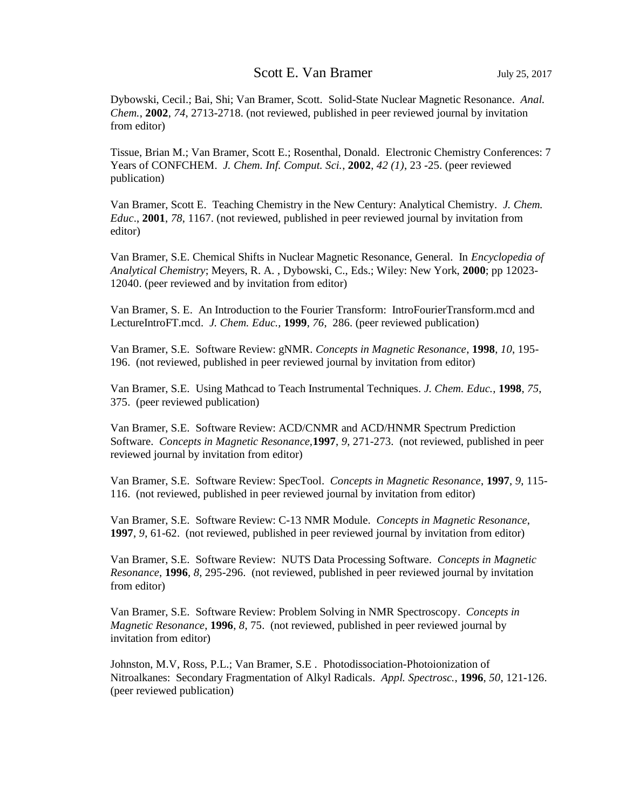Dybowski, Cecil.; Bai, Shi; Van Bramer, Scott. Solid-State Nuclear Magnetic Resonance. *Anal. Chem.*, **2002**, *74*, 2713-2718. (not reviewed, published in peer reviewed journal by invitation from editor)

Tissue, Brian M.; Van Bramer, Scott E.; Rosenthal, Donald. Electronic Chemistry Conferences: 7 Years of CONFCHEM. *J. Chem. Inf. Comput. Sci.*, **2002**, *42 (1)*, 23 -25. (peer reviewed publication)

Van Bramer, Scott E. Teaching Chemistry in the New Century: Analytical Chemistry. *J. Chem. Educ*., **2001**, *78*, 1167. (not reviewed, published in peer reviewed journal by invitation from editor)

Van Bramer, S.E. Chemical Shifts in Nuclear Magnetic Resonance, General. In *Encyclopedia of Analytical Chemistry*; Meyers, R. A. , Dybowski, C., Eds.; Wiley: New York, **2000**; pp 12023- 12040. (peer reviewed and by invitation from editor)

Van Bramer, S. E. An Introduction to the Fourier Transform: IntroFourierTransform.mcd and LectureIntroFT.mcd. *J. Chem. Educ.,* **1999**, *76*, 286. (peer reviewed publication)

Van Bramer, S.E. Software Review: gNMR. *Concepts in Magnetic Resonance*, **1998**, *10*, 195- 196. (not reviewed, published in peer reviewed journal by invitation from editor)

Van Bramer, S.E. Using Mathcad to Teach Instrumental Techniques. *J. Chem. Educ.,* **1998**, *75*, 375. (peer reviewed publication)

Van Bramer, S.E. Software Review: ACD/CNMR and ACD/HNMR Spectrum Prediction Software. *Concepts in Magnetic Resonance,***1997**, *9*, 271-273. (not reviewed, published in peer reviewed journal by invitation from editor)

Van Bramer, S.E. Software Review: SpecTool. *Concepts in Magnetic Resonance*, **1997**, *9*, 115- 116. (not reviewed, published in peer reviewed journal by invitation from editor)

Van Bramer, S.E. Software Review: C-13 NMR Module. *Concepts in Magnetic Resonance*, **1997**, *9*, 61-62. (not reviewed, published in peer reviewed journal by invitation from editor)

Van Bramer, S.E. Software Review: NUTS Data Processing Software. *Concepts in Magnetic Resonance*, **1996**, *8*, 295-296. (not reviewed, published in peer reviewed journal by invitation from editor)

Van Bramer, S.E. Software Review: Problem Solving in NMR Spectroscopy. *Concepts in Magnetic Resonance*, **1996**, *8*, 75. (not reviewed, published in peer reviewed journal by invitation from editor)

Johnston, M.V, Ross, P.L.; Van Bramer, S.E . Photodissociation-Photoionization of Nitroalkanes: Secondary Fragmentation of Alkyl Radicals. *Appl. Spectrosc.*, **1996**, *50*, 121-126. (peer reviewed publication)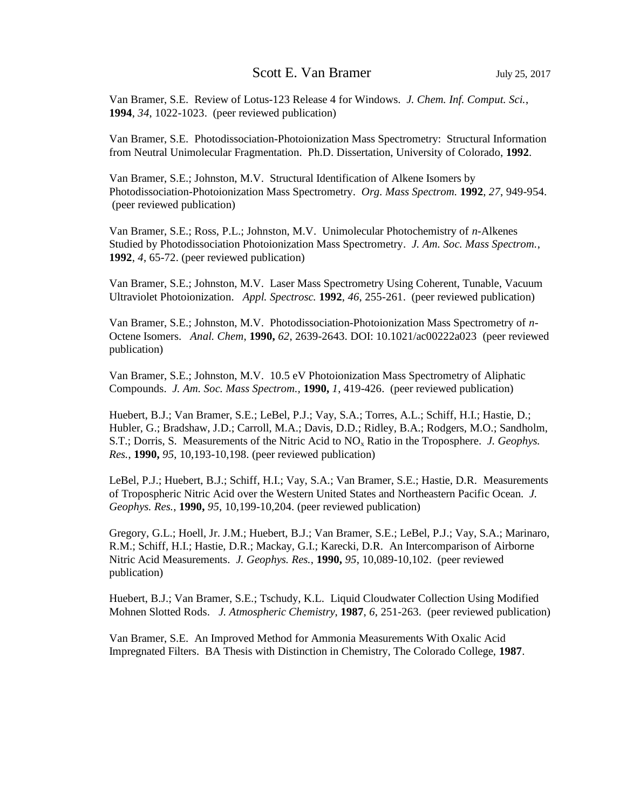Van Bramer, S.E. Review of Lotus-123 Release 4 for Windows. *J. Chem. Inf. Comput. Sci.*, **1994**, *34*, 1022-1023. (peer reviewed publication)

Van Bramer, S.E. Photodissociation-Photoionization Mass Spectrometry: Structural Information from Neutral Unimolecular Fragmentation. Ph.D. Dissertation, University of Colorado, **1992**.

Van Bramer, S.E.; Johnston, M.V. Structural Identification of Alkene Isomers by Photodissociation-Photoionization Mass Spectrometry. *Org. Mass Spectrom.* **1992**, *27*, 949-954. (peer reviewed publication)

Van Bramer, S.E.; Ross, P.L.; Johnston, M.V. Unimolecular Photochemistry of *n*-Alkenes Studied by Photodissociation Photoionization Mass Spectrometry. *J. Am. Soc. Mass Spectrom.*, **1992**, *4*, 65-72. (peer reviewed publication)

Van Bramer, S.E.; Johnston, M.V. Laser Mass Spectrometry Using Coherent, Tunable, Vacuum Ultraviolet Photoionization. *Appl. Spectrosc.* **1992**, *46*, 255-261. (peer reviewed publication)

Van Bramer, S.E.; Johnston, M.V. Photodissociation-Photoionization Mass Spectrometry of *n*-Octene Isomers. *Anal. Chem*, **1990,** *62*, 2639-2643. DOI: 10.1021/ac00222a023 (peer reviewed publication)

Van Bramer, S.E.; Johnston, M.V. 10.5 eV Photoionization Mass Spectrometry of Aliphatic Compounds. *J. Am. Soc. Mass Spectrom.,* **1990,** *1*, 419-426. (peer reviewed publication)

Huebert, B.J.; Van Bramer, S.E.; LeBel, P.J.; Vay, S.A.; Torres, A.L.; Schiff, H.I.; Hastie, D.; Hubler, G.; Bradshaw, J.D.; Carroll, M.A.; Davis, D.D.; Ridley, B.A.; Rodgers, M.O.; Sandholm, S.T.; Dorris, S. Measurements of the Nitric Acid to NO<sub>x</sub> Ratio in the Troposphere. *J. Geophys. Res.*, **1990,** *95*, 10,193-10,198. (peer reviewed publication)

LeBel, P.J.; Huebert, B.J.; Schiff, H.I.; Vay, S.A.; Van Bramer, S.E.; Hastie, D.R. Measurements of Tropospheric Nitric Acid over the Western United States and Northeastern Pacific Ocean. *J. Geophys. Res.*, **1990,** *95*, 10,199-10,204. (peer reviewed publication)

Gregory, G.L.; Hoell, Jr. J.M.; Huebert, B.J.; Van Bramer, S.E.; LeBel, P.J.; Vay, S.A.; Marinaro, R.M.; Schiff, H.I.; Hastie, D.R.; Mackay, G.I.; Karecki, D.R. An Intercomparison of Airborne Nitric Acid Measurements. *J. Geophys. Res.*, **1990,** *95*, 10,089-10,102. (peer reviewed publication)

Huebert, B.J.; Van Bramer, S.E.; Tschudy, K.L. Liquid Cloudwater Collection Using Modified Mohnen Slotted Rods. *J. Atmospheric Chemistry*, **1987**, *6*, 251-263. (peer reviewed publication)

Van Bramer, S.E. An Improved Method for Ammonia Measurements With Oxalic Acid Impregnated Filters. BA Thesis with Distinction in Chemistry, The Colorado College, **1987**.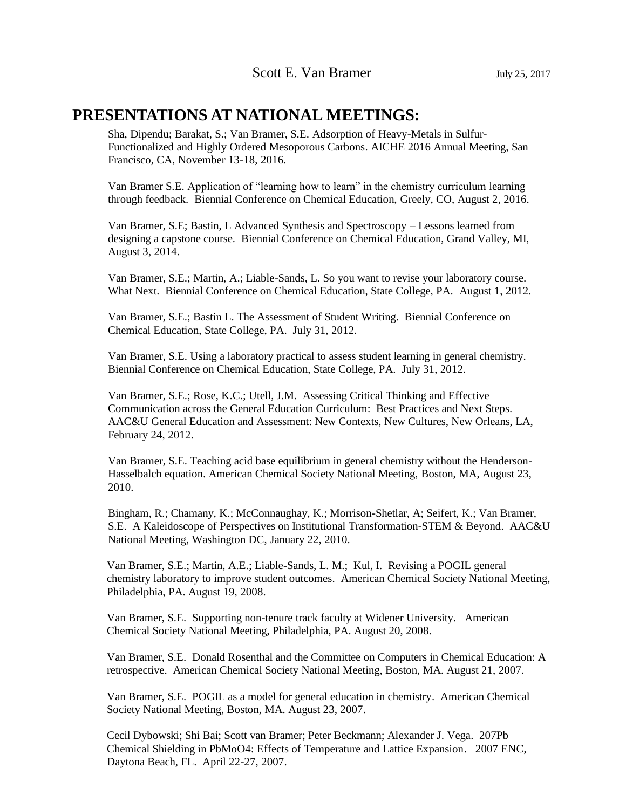## **PRESENTATIONS AT NATIONAL MEETINGS:**

Sha, Dipendu; Barakat, S.; Van Bramer, S.E. Adsorption of Heavy-Metals in Sulfur-Functionalized and Highly Ordered Mesoporous Carbons. AICHE 2016 Annual Meeting, San Francisco, CA, November 13-18, 2016.

Van Bramer S.E. Application of "learning how to learn" in the chemistry curriculum learning through feedback. Biennial Conference on Chemical Education, Greely, CO, August 2, 2016.

Van Bramer, S.E; Bastin, L Advanced Synthesis and Spectroscopy – Lessons learned from designing a capstone course. Biennial Conference on Chemical Education, Grand Valley, MI, August 3, 2014.

Van Bramer, S.E.; Martin, A.; Liable-Sands, L. So you want to revise your laboratory course. What Next. Biennial Conference on Chemical Education, State College, PA. August 1, 2012.

Van Bramer, S.E.; Bastin L. The Assessment of Student Writing. Biennial Conference on Chemical Education, State College, PA. July 31, 2012.

Van Bramer, S.E. Using a laboratory practical to assess student learning in general chemistry. Biennial Conference on Chemical Education, State College, PA. July 31, 2012.

Van Bramer, S.E.; Rose, K.C.; Utell, J.M. Assessing Critical Thinking and Effective Communication across the General Education Curriculum: Best Practices and Next Steps. AAC&U General Education and Assessment: New Contexts, New Cultures, New Orleans, LA, February 24, 2012.

Van Bramer, S.E. Teaching acid base equilibrium in general chemistry without the Henderson-Hasselbalch equation. American Chemical Society National Meeting, Boston, MA, August 23, 2010.

Bingham, R.; Chamany, K.; McConnaughay, K.; Morrison-Shetlar, A; Seifert, K.; Van Bramer, S.E. A Kaleidoscope of Perspectives on Institutional Transformation-STEM & Beyond. AAC&U National Meeting, Washington DC, January 22, 2010.

Van Bramer, S.E.; Martin, A.E.; Liable-Sands, L. M.; Kul, I. Revising a POGIL general chemistry laboratory to improve student outcomes. American Chemical Society National Meeting, Philadelphia, PA. August 19, 2008.

Van Bramer, S.E. Supporting non-tenure track faculty at Widener University. American Chemical Society National Meeting, Philadelphia, PA. August 20, 2008.

Van Bramer, S.E. Donald Rosenthal and the Committee on Computers in Chemical Education: A retrospective. American Chemical Society National Meeting, Boston, MA. August 21, 2007.

Van Bramer, S.E. POGIL as a model for general education in chemistry. American Chemical Society National Meeting, Boston, MA. August 23, 2007.

Cecil Dybowski; Shi Bai; Scott van Bramer; Peter Beckmann; Alexander J. Vega. 207Pb Chemical Shielding in PbMoO4: Effects of Temperature and Lattice Expansion. 2007 ENC, Daytona Beach, FL. April 22-27, 2007.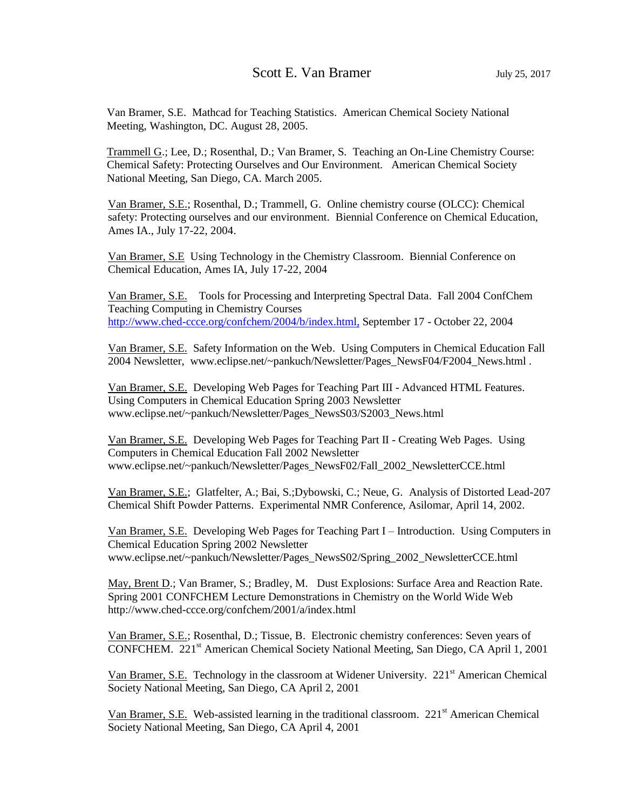Van Bramer, S.E. Mathcad for Teaching Statistics. American Chemical Society National Meeting, Washington, DC. August 28, 2005.

Trammell G.; Lee, D.; Rosenthal, D.; Van Bramer, S. Teaching an On-Line Chemistry Course: Chemical Safety: Protecting Ourselves and Our Environment. American Chemical Society National Meeting, San Diego, CA. March 2005.

Van Bramer, S.E.; Rosenthal, D.; Trammell, G. Online chemistry course (OLCC): Chemical safety: Protecting ourselves and our environment. Biennial Conference on Chemical Education, Ames IA., July 17-22, 2004.

Van Bramer, S.E Using Technology in the Chemistry Classroom. Biennial Conference on Chemical Education, Ames IA, July 17-22, 2004

Van Bramer, S.E. Tools for Processing and Interpreting Spectral Data. Fall 2004 ConfChem Teaching Computing in Chemistry Courses http://www.ched-ccce.org/confchem/2004/b/index.html, September 17 - October 22, 2004

Van Bramer, S.E. Safety Information on the Web. Using Computers in Chemical Education Fall 2004 Newsletter, www.eclipse.net/~pankuch/Newsletter/Pages\_NewsF04/F2004\_News.html .

Van Bramer, S.E. Developing Web Pages for Teaching Part III - Advanced HTML Features. Using Computers in Chemical Education Spring 2003 Newsletter www.eclipse.net/~pankuch/Newsletter/Pages\_NewsS03/S2003\_News.html

Van Bramer, S.E. Developing Web Pages for Teaching Part II - Creating Web Pages. Using Computers in Chemical Education Fall 2002 Newsletter www.eclipse.net/~pankuch/Newsletter/Pages\_NewsF02/Fall\_2002\_NewsletterCCE.html

Van Bramer, S.E.; Glatfelter, A.; Bai, S.;Dybowski, C.; Neue, G. Analysis of Distorted Lead-207 Chemical Shift Powder Patterns. Experimental NMR Conference, Asilomar, April 14, 2002.

Van Bramer, S.E. Developing Web Pages for Teaching Part I – Introduction. Using Computers in Chemical Education Spring 2002 Newsletter www.eclipse.net/~pankuch/Newsletter/Pages\_NewsS02/Spring\_2002\_NewsletterCCE.html

May, Brent D.; Van Bramer, S.; Bradley, M. Dust Explosions: Surface Area and Reaction Rate. Spring 2001 CONFCHEM Lecture Demonstrations in Chemistry on the World Wide Web http://www.ched-ccce.org/confchem/2001/a/index.html

Van Bramer, S.E.; Rosenthal, D.; Tissue, B. Electronic chemistry conferences: Seven years of CONFCHEM. 221st American Chemical Society National Meeting, San Diego, CA April 1, 2001

Van Bramer, S.E. Technology in the classroom at Widener University.  $221<sup>st</sup>$  American Chemical Society National Meeting, San Diego, CA April 2, 2001

Van Bramer, S.E. Web-assisted learning in the traditional classroom.  $221<sup>st</sup>$  American Chemical Society National Meeting, San Diego, CA April 4, 2001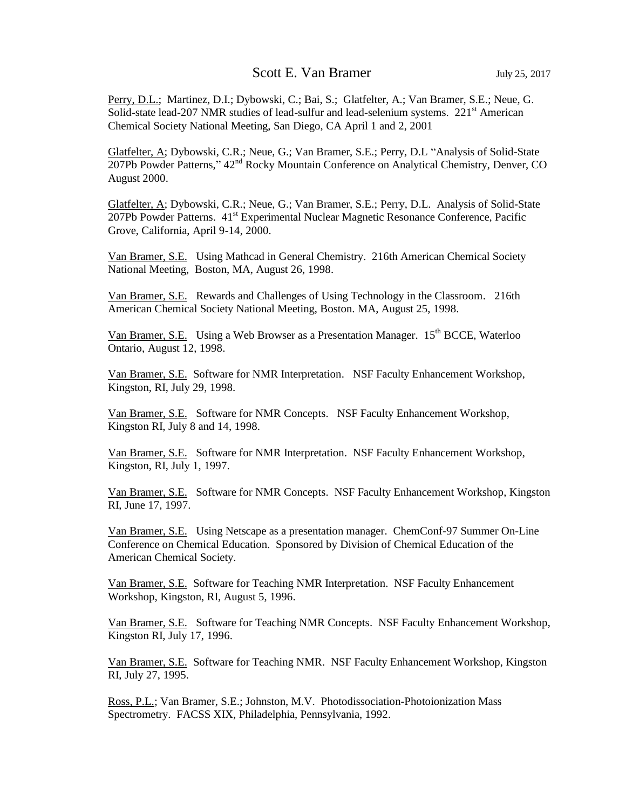Perry, D.L.; Martinez, D.I.; Dybowski, C.; Bai, S.; Glatfelter, A.; Van Bramer, S.E.; Neue, G. Solid-state lead-207 NMR studies of lead-sulfur and lead-selenium systems.  $221<sup>st</sup>$  American Chemical Society National Meeting, San Diego, CA April 1 and 2, 2001

Glatfelter, A; Dybowski, C.R.; Neue, G.; Van Bramer, S.E.; Perry, D.L "Analysis of Solid-State 207Pb Powder Patterns," 42<sup>nd</sup> Rocky Mountain Conference on Analytical Chemistry, Denver, CO August 2000.

Glatfelter, A; Dybowski, C.R.; Neue, G.; Van Bramer, S.E.; Perry, D.L. Analysis of Solid-State 207Pb Powder Patterns. 41<sup>st</sup> Experimental Nuclear Magnetic Resonance Conference, Pacific Grove, California, April 9-14, 2000.

Van Bramer, S.E. Using Mathcad in General Chemistry. 216th American Chemical Society National Meeting, Boston, MA, August 26, 1998.

Van Bramer, S.E. Rewards and Challenges of Using Technology in the Classroom. 216th American Chemical Society National Meeting, Boston. MA, August 25, 1998.

Van Bramer, S.E. Using a Web Browser as a Presentation Manager. 15<sup>th</sup> BCCE, Waterloo Ontario, August 12, 1998.

Van Bramer, S.E. Software for NMR Interpretation. NSF Faculty Enhancement Workshop, Kingston, RI, July 29, 1998.

Van Bramer, S.E. Software for NMR Concepts. NSF Faculty Enhancement Workshop, Kingston RI, July 8 and 14, 1998.

Van Bramer, S.E. Software for NMR Interpretation. NSF Faculty Enhancement Workshop, Kingston, RI, July 1, 1997.

Van Bramer, S.E. Software for NMR Concepts. NSF Faculty Enhancement Workshop, Kingston RI, June 17, 1997.

Van Bramer, S.E. Using Netscape as a presentation manager. ChemConf-97 Summer On-Line Conference on Chemical Education. Sponsored by Division of Chemical Education of the American Chemical Society.

Van Bramer, S.E. Software for Teaching NMR Interpretation. NSF Faculty Enhancement Workshop, Kingston, RI, August 5, 1996.

Van Bramer, S.E. Software for Teaching NMR Concepts. NSF Faculty Enhancement Workshop, Kingston RI, July 17, 1996.

Van Bramer, S.E. Software for Teaching NMR. NSF Faculty Enhancement Workshop, Kingston RI, July 27, 1995.

Ross, P.L.; Van Bramer, S.E.; Johnston, M.V. Photodissociation-Photoionization Mass Spectrometry. FACSS XIX, Philadelphia, Pennsylvania, 1992.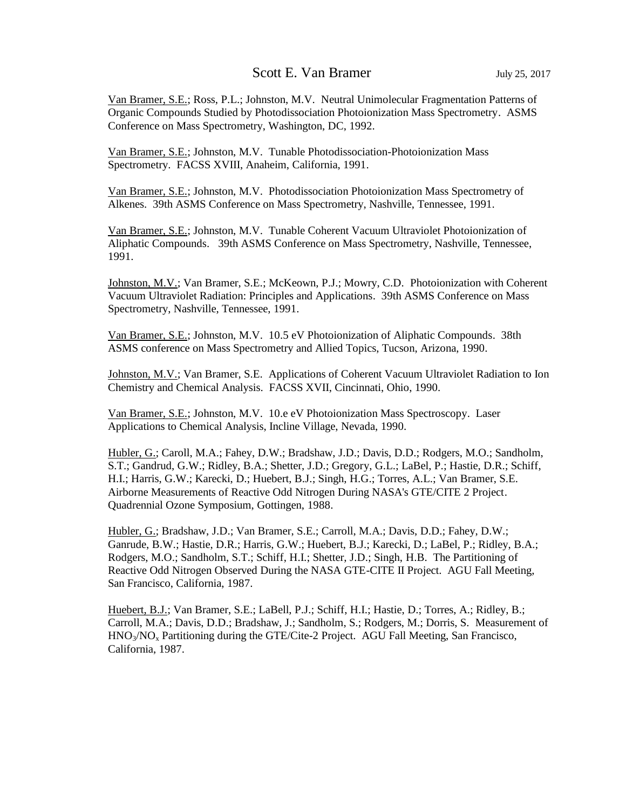Van Bramer, S.E.; Ross, P.L.; Johnston, M.V. Neutral Unimolecular Fragmentation Patterns of Organic Compounds Studied by Photodissociation Photoionization Mass Spectrometry. ASMS Conference on Mass Spectrometry, Washington, DC, 1992.

Van Bramer, S.E.; Johnston, M.V. Tunable Photodissociation-Photoionization Mass Spectrometry. FACSS XVIII, Anaheim, California, 1991.

Van Bramer, S.E.; Johnston, M.V. Photodissociation Photoionization Mass Spectrometry of Alkenes. 39th ASMS Conference on Mass Spectrometry, Nashville, Tennessee, 1991.

Van Bramer, S.E.; Johnston, M.V. Tunable Coherent Vacuum Ultraviolet Photoionization of Aliphatic Compounds. 39th ASMS Conference on Mass Spectrometry, Nashville, Tennessee, 1991.

Johnston, M.V.; Van Bramer, S.E.; McKeown, P.J.; Mowry, C.D. Photoionization with Coherent Vacuum Ultraviolet Radiation: Principles and Applications. 39th ASMS Conference on Mass Spectrometry, Nashville, Tennessee, 1991.

Van Bramer, S.E.; Johnston, M.V. 10.5 eV Photoionization of Aliphatic Compounds. 38th ASMS conference on Mass Spectrometry and Allied Topics, Tucson, Arizona, 1990.

Johnston, M.V.; Van Bramer, S.E. Applications of Coherent Vacuum Ultraviolet Radiation to Ion Chemistry and Chemical Analysis. FACSS XVII, Cincinnati, Ohio, 1990.

Van Bramer, S.E.; Johnston, M.V. 10.e eV Photoionization Mass Spectroscopy. Laser Applications to Chemical Analysis, Incline Village, Nevada, 1990.

Hubler, G.; Caroll, M.A.; Fahey, D.W.; Bradshaw, J.D.; Davis, D.D.; Rodgers, M.O.; Sandholm, S.T.; Gandrud, G.W.; Ridley, B.A.; Shetter, J.D.; Gregory, G.L.; LaBel, P.; Hastie, D.R.; Schiff, H.I.; Harris, G.W.; Karecki, D.; Huebert, B.J.; Singh, H.G.; Torres, A.L.; Van Bramer, S.E. Airborne Measurements of Reactive Odd Nitrogen During NASA's GTE/CITE 2 Project. Quadrennial Ozone Symposium, Gottingen, 1988.

Hubler, G.; Bradshaw, J.D.; Van Bramer, S.E.; Carroll, M.A.; Davis, D.D.; Fahey, D.W.; Ganrude, B.W.; Hastie, D.R.; Harris, G.W.; Huebert, B.J.; Karecki, D.; LaBel, P.; Ridley, B.A.; Rodgers, M.O.; Sandholm, S.T.; Schiff, H.I.; Shetter, J.D.; Singh, H.B. The Partitioning of Reactive Odd Nitrogen Observed During the NASA GTE-CITE II Project. AGU Fall Meeting, San Francisco, California, 1987.

Huebert, B.J.; Van Bramer, S.E.; LaBell, P.J.; Schiff, H.I.; Hastie, D.; Torres, A.; Ridley, B.; Carroll, M.A.; Davis, D.D.; Bradshaw, J.; Sandholm, S.; Rodgers, M.; Dorris, S. Measurement of  $HNO<sub>3</sub>/NO<sub>x</sub>$  Partitioning during the GTE/Cite-2 Project. AGU Fall Meeting, San Francisco, California, 1987.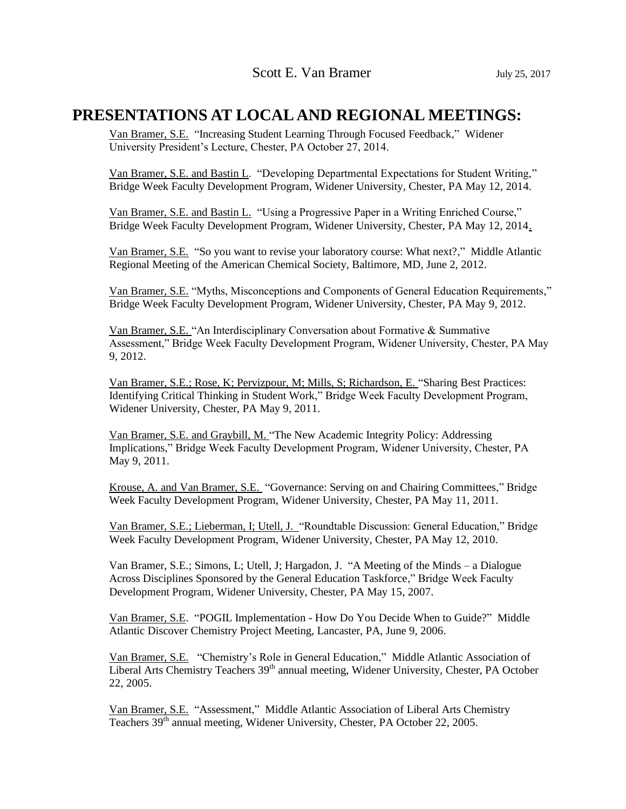## **PRESENTATIONS AT LOCAL AND REGIONAL MEETINGS:**

Van Bramer, S.E. "Increasing Student Learning Through Focused Feedback," Widener University President's Lecture, Chester, PA October 27, 2014.

Van Bramer, S.E. and Bastin L. "Developing Departmental Expectations for Student Writing," Bridge Week Faculty Development Program, Widener University, Chester, PA May 12, 2014.

Van Bramer, S.E. and Bastin L. "Using a Progressive Paper in a Writing Enriched Course," Bridge Week Faculty Development Program, Widener University, Chester, PA May 12, 2014.

Van Bramer, S.E. "So you want to revise your laboratory course: What next?," Middle Atlantic Regional Meeting of the American Chemical Society, Baltimore, MD, June 2, 2012.

Van Bramer, S.E. "Myths, Misconceptions and Components of General Education Requirements," Bridge Week Faculty Development Program, Widener University, Chester, PA May 9, 2012.

Van Bramer, S.E. "An Interdisciplinary Conversation about Formative & Summative Assessment," Bridge Week Faculty Development Program, Widener University, Chester, PA May 9, 2012.

Van Bramer, S.E.; Rose, K; Pervizpour, M; Mills, S; Richardson, E. "Sharing Best Practices: Identifying Critical Thinking in Student Work," Bridge Week Faculty Development Program, Widener University, Chester, PA May 9, 2011.

Van Bramer, S.E. and Graybill, M. "The New Academic Integrity Policy: Addressing Implications," Bridge Week Faculty Development Program, Widener University, Chester, PA May 9, 2011.

Krouse, A. and Van Bramer, S.E. "Governance: Serving on and Chairing Committees," Bridge Week Faculty Development Program, Widener University, Chester, PA May 11, 2011.

Van Bramer, S.E.; Lieberman, I; Utell, J. "Roundtable Discussion: General Education," Bridge Week Faculty Development Program, Widener University, Chester, PA May 12, 2010.

Van Bramer, S.E.; Simons, L; Utell, J; Hargadon, J. "A Meeting of the Minds – a Dialogue Across Disciplines Sponsored by the General Education Taskforce," Bridge Week Faculty Development Program, Widener University, Chester, PA May 15, 2007.

Van Bramer, S.E. "POGIL Implementation - How Do You Decide When to Guide?" Middle Atlantic Discover Chemistry Project Meeting, Lancaster, PA, June 9, 2006.

Van Bramer, S.E. "Chemistry's Role in General Education," Middle Atlantic Association of Liberal Arts Chemistry Teachers 39<sup>th</sup> annual meeting, Widener University, Chester, PA October 22, 2005.

Van Bramer, S.E. "Assessment," Middle Atlantic Association of Liberal Arts Chemistry Teachers 39<sup>th</sup> annual meeting, Widener University, Chester, PA October 22, 2005.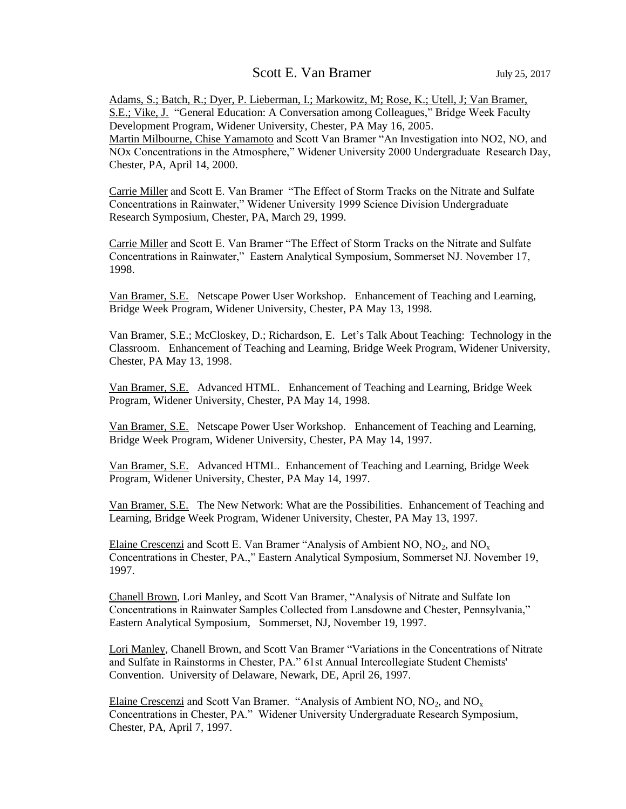Adams, S.; Batch, R.; Dyer, P. Lieberman, I.; Markowitz, M; Rose, K.; Utell, J; Van Bramer, S.E.; Vike, J. "General Education: A Conversation among Colleagues," Bridge Week Faculty Development Program, Widener University, Chester, PA May 16, 2005. Martin Milbourne, Chise Yamamoto and Scott Van Bramer "An Investigation into NO2, NO, and NOx Concentrations in the Atmosphere," Widener University 2000 Undergraduate Research Day, Chester, PA, April 14, 2000.

Carrie Miller and Scott E. Van Bramer "The Effect of Storm Tracks on the Nitrate and Sulfate Concentrations in Rainwater," Widener University 1999 Science Division Undergraduate Research Symposium, Chester, PA, March 29, 1999.

Carrie Miller and Scott E. Van Bramer "The Effect of Storm Tracks on the Nitrate and Sulfate Concentrations in Rainwater," Eastern Analytical Symposium, Sommerset NJ. November 17, 1998.

Van Bramer, S.E. Netscape Power User Workshop. Enhancement of Teaching and Learning, Bridge Week Program, Widener University, Chester, PA May 13, 1998.

Van Bramer, S.E.; McCloskey, D.; Richardson, E. Let's Talk About Teaching: Technology in the Classroom. Enhancement of Teaching and Learning, Bridge Week Program, Widener University, Chester, PA May 13, 1998.

Van Bramer, S.E. Advanced HTML. Enhancement of Teaching and Learning, Bridge Week Program, Widener University, Chester, PA May 14, 1998.

Van Bramer, S.E. Netscape Power User Workshop. Enhancement of Teaching and Learning, Bridge Week Program, Widener University, Chester, PA May 14, 1997.

Van Bramer, S.E. Advanced HTML. Enhancement of Teaching and Learning, Bridge Week Program, Widener University, Chester, PA May 14, 1997.

Van Bramer, S.E. The New Network: What are the Possibilities. Enhancement of Teaching and Learning, Bridge Week Program, Widener University, Chester, PA May 13, 1997.

Elaine Crescenzi and Scott E. Van Bramer "Analysis of Ambient NO,  $NO_2$ , and  $NO_x$ Concentrations in Chester, PA.," Eastern Analytical Symposium, Sommerset NJ. November 19, 1997.

Chanell Brown, Lori Manley, and Scott Van Bramer, "Analysis of Nitrate and Sulfate Ion Concentrations in Rainwater Samples Collected from Lansdowne and Chester, Pennsylvania," Eastern Analytical Symposium, Sommerset, NJ, November 19, 1997.

Lori Manley, Chanell Brown, and Scott Van Bramer "Variations in the Concentrations of Nitrate and Sulfate in Rainstorms in Chester, PA." 61st Annual Intercollegiate Student Chemists' Convention. University of Delaware, Newark, DE, April 26, 1997.

Elaine Crescenzi and Scott Van Bramer. "Analysis of Ambient NO,  $NO<sub>2</sub>$ , and  $NO<sub>x</sub>$ Concentrations in Chester, PA." Widener University Undergraduate Research Symposium, Chester, PA, April 7, 1997.